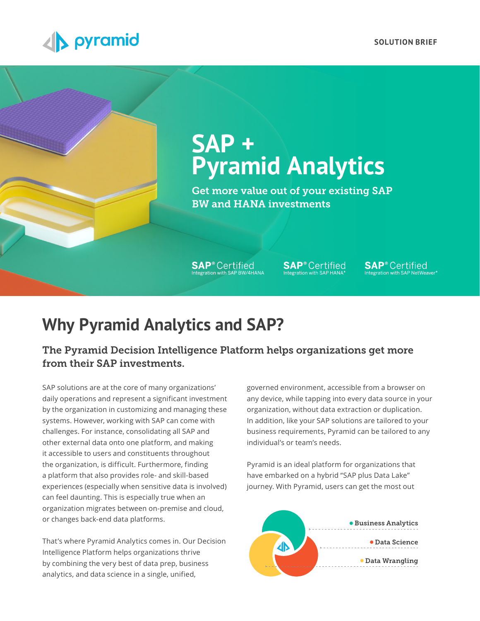

# **SAP + Pyramid Analytics**

Get more value out of your existing SAP BW and HANA investments

**SAP**<sup>®</sup> Certified<br>Integration with SAP BW/4HANA

**SAP**<sup>®</sup> Certified

**SAP**<sup>®</sup> Certified

## **Why Pyramid Analytics and SAP?**

The Pyramid Decision Intelligence Platform helps organizations get more from their SAP investments.

SAP solutions are at the core of many organizations' daily operations and represent a significant investment by the organization in customizing and managing these systems. However, working with SAP can come with challenges. For instance, consolidating all SAP and other external data onto one platform, and making it accessible to users and constituents throughout the organization, is difficult. Furthermore, finding a platform that also provides role- and skill-based experiences (especially when sensitive data is involved) can feel daunting. This is especially true when an organization migrates between on-premise and cloud, or changes back-end data platforms.

That's where Pyramid Analytics comes in. Our Decision Intelligence Platform helps organizations thrive by combining the very best of data prep, business analytics, and data science in a single, unified,

governed environment, accessible from a browser on any device, while tapping into every data source in your organization, without data extraction or duplication. In addition, like your SAP solutions are tailored to your business requirements, Pyramid can be tailored to any individual's or team's needs.

Pyramid is an ideal platform for organizations that have embarked on a hybrid "SAP plus Data Lake" journey. With Pyramid, users can get the most out

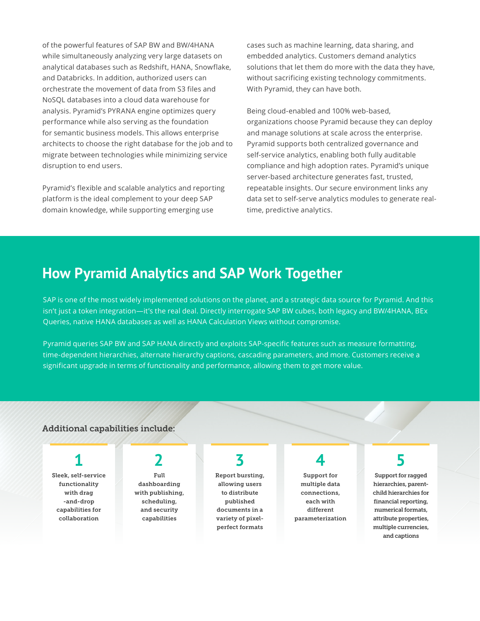of the powerful features of SAP BW and BW/4HANA while simultaneously analyzing very large datasets on analytical databases such as Redshift, HANA, Snowflake, and Databricks. In addition, authorized users can orchestrate the movement of data from S3 files and NoSQL databases into a cloud data warehouse for analysis. Pyramid's PYRANA engine optimizes query performance while also serving as the foundation for semantic business models. This allows enterprise architects to choose the right database for the job and to migrate between technologies while minimizing service disruption to end users.

Pyramid's flexible and scalable analytics and reporting platform is the ideal complement to your deep SAP domain knowledge, while supporting emerging use

cases such as machine learning, data sharing, and embedded analytics. Customers demand analytics solutions that let them do more with the data they have, without sacrificing existing technology commitments. With Pyramid, they can have both.

Being cloud-enabled and 100% web-based, organizations choose Pyramid because they can deploy and manage solutions at scale across the enterprise. Pyramid supports both centralized governance and self-service analytics, enabling both fully auditable compliance and high adoption rates. Pyramid's unique server-based architecture generates fast, trusted, repeatable insights. Our secure environment links any data set to self-serve analytics modules to generate realtime, predictive analytics.

### **How Pyramid Analytics and SAP Work Together**

SAP is one of the most widely implemented solutions on the planet, and a strategic data source for Pyramid. And this isn't just a token integration—it's the real deal. Directly interrogate SAP BW cubes, both legacy and BW/4HANA, BEx Queries, native HANA databases as well as HANA Calculation Views without compromise.

Pyramid queries SAP BW and SAP HANA directly and exploits SAP-specific features such as measure formatting, time-dependent hierarchies, alternate hierarchy captions, cascading parameters, and more. Customers receive a significant upgrade in terms of functionality and performance, allowing them to get more value.

### Additional capabilities include:

Sleek, self-service functionality with drag -and-drop capabilities for collaboration

Full dashboarding with publishing, scheduling, and security capabilities

## **1 2 3 4 5**

Report bursting, allowing users to distribute published documents in a variety of pixelperfect formats

Support for multiple data connections, each with different parameterization

Support for ragged hierarchies, parentchild hierarchies for financial reporting, numerical formats, attribute properties, multiple currencies, and captions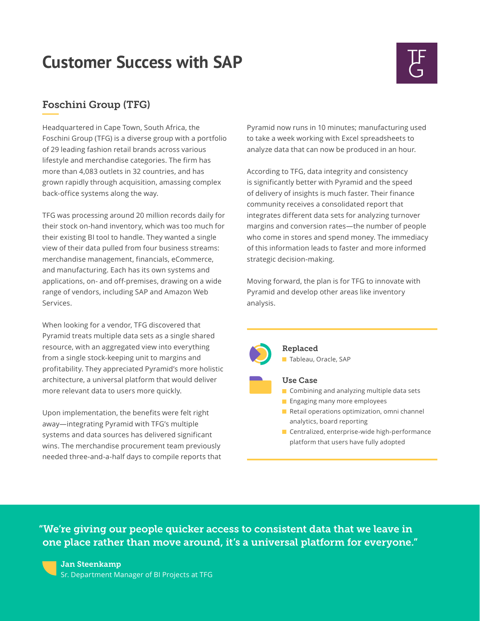## **Customer Success with SAP**

### Foschini Group (TFG)

Headquartered in Cape Town, South Africa, the Foschini Group (TFG) is a diverse group with a portfolio of 29 leading fashion retail brands across various lifestyle and merchandise categories. The firm has more than 4,083 outlets in 32 countries, and has grown rapidly through acquisition, amassing complex back-office systems along the way.

TFG was processing around 20 million records daily for their stock on-hand inventory, which was too much for their existing BI tool to handle. They wanted a single view of their data pulled from four business streams: merchandise management, financials, eCommerce, and manufacturing. Each has its own systems and applications, on- and off-premises, drawing on a wide range of vendors, including SAP and Amazon Web Services.

When looking for a vendor, TFG discovered that Pyramid treats multiple data sets as a single shared resource, with an aggregated view into everything from a single stock-keeping unit to margins and profitability. They appreciated Pyramid's more holistic architecture, a universal platform that would deliver more relevant data to users more quickly.

Upon implementation, the benefits were felt right away—integrating Pyramid with TFG's multiple systems and data sources has delivered significant wins. The merchandise procurement team previously needed three-and-a-half days to compile reports that

Pyramid now runs in 10 minutes; manufacturing used to take a week working with Excel spreadsheets to analyze data that can now be produced in an hour.

According to TFG, data integrity and consistency is significantly better with Pyramid and the speed of delivery of insights is much faster. Their finance community receives a consolidated report that integrates different data sets for analyzing turnover margins and conversion rates—the number of people who come in stores and spend money. The immediacy of this information leads to faster and more informed strategic decision-making.

Moving forward, the plan is for TFG to innovate with Pyramid and develop other areas like inventory analysis.



Replaced Tableau, Oracle, SAP

### Use Case

- Combining and analyzing multiple data sets
- **Engaging many more employees**
- Retail operations optimization, omni channel analytics, board reporting
- Centralized, enterprise-wide high-performance platform that users have fully adopted

"We're giving our people quicker access to consistent data that we leave in one place rather than move around, it's a universal platform for everyone."